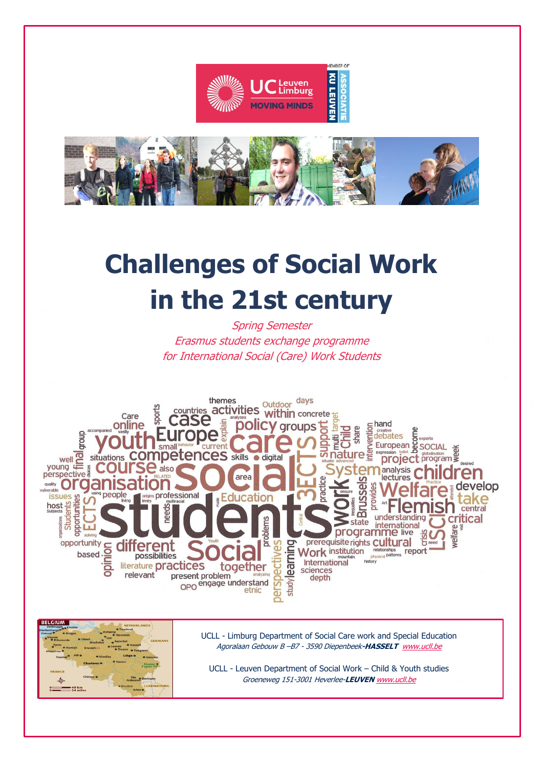



# **Challenges of Social Work in the 21st century**

Spring Semester Erasmus students exchange programme for International Social (Care) Work Students





UCLL - Limburg Department of Social Care work and Special Education Agoralaan Gebouw B –B7 - 3590 Diepenbeek**-HASSELT** [www.ucll.be](http://www.ucll.be/)

UCLL - Leuven Department of Social Work – Child & Youth studies Groeneweg 151-3001 Heverlee-**LEUVEN** [www.ucll.be](http://www.ucll.be/)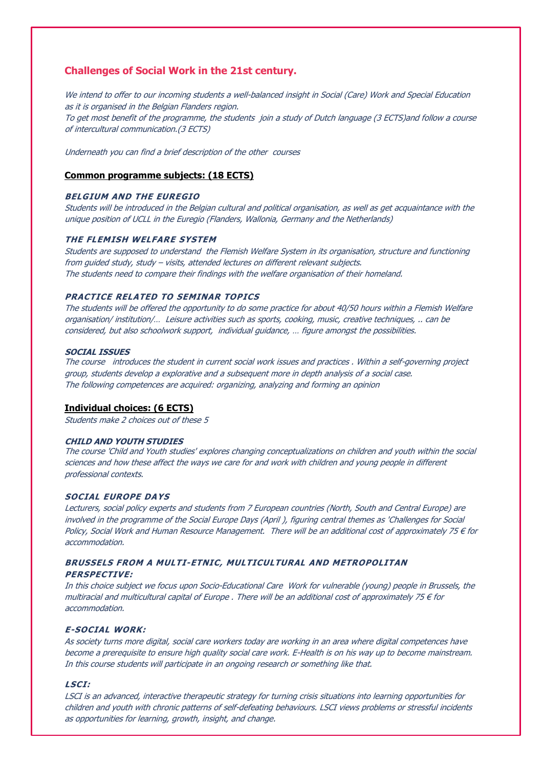### **Challenges of Social Work in the 21st century.**

We intend to offer to our incoming students a well-balanced insight in Social (Care) Work and Special Education as it is organised in the Belgian Flanders region. To get most benefit of the programme, the students join a study of Dutch language (3 ECTS)and follow a course of intercultural communication.(3 ECTS)

Underneath you can find a brief description of the other courses

### **Common programme subjects: (18 ECTS)**

### **BELGIUM AND THE EUREGIO**

Students will be introduced in the Belgian cultural and political organisation, as well as get acquaintance with the unique position of UCLL in the Euregio (Flanders, Wallonia, Germany and the Netherlands)

### **THE FLEMISH WELFARE SYSTEM**

Students are supposed to understand the Flemish Welfare System in its organisation, structure and functioning from guided study, study – visits, attended lectures on different relevant subjects. The students need to compare their findings with the welfare organisation of their homeland.

### **PRACTICE RELATED TO SEMINAR TOPICS**

The students will be offered the opportunity to do some practice for about 40/50 hours within a Flemish Welfare organisation/ institution/… Leisure activities such as sports, cooking, music, creative techniques, .. can be considered, but also schoolwork support, individual guidance, … figure amongst the possibilities.

### **SOCIAL ISSUES**

The course introduces the student in current social work issues and practices . Within a self-governing project group, students develop a explorative and a subsequent more in depth analysis of a social case. The following competences are acquired: organizing, analyzing and forming an opinion

### **Individual choices: (6 ECTS)**

Students make 2 choices out of these 5

### **CHILD AND YOUTH STUDIES**

The course 'Child and Youth studies' explores changing conceptualizations on children and youth within the social sciences and how these affect the ways we care for and work with children and young people in different professional contexts.

### **SOCIAL EUROPE DAYS**

Lecturers, social policy experts and students from 7 European countries (North, South and Central Europe) are involved in the programme of the Social Europe Days (April ), figuring central themes as 'Challenges for Social Policy, Social Work and Human Resource Management. There will be an additional cost of approximately 75 € for accommodation.

### **BRUSSELS FROM A MULTI-ETNIC, MULTICULTURAL AND METROPOLITAN PERSPECTIVE:**

In this choice subject we focus upon Socio-Educational Care Work for vulnerable (young) people in Brussels, the multiracial and multicultural capital of Europe . There will be an additional cost of approximately 75  $\epsilon$  for accommodation.

### **E-SOCIAL WORK:**

As society turns more digital, social care workers today are working in an area where digital competences have become a prerequisite to ensure high quality social care work. E-Health is on his way up to become mainstream. In this course students will participate in an ongoing research or something like that.

### **LSCI:**

LSCI is an advanced, interactive therapeutic strategy for turning crisis situations into learning opportunities for children and youth with chronic patterns of self-defeating behaviours. LSCI views problems or stressful incidents as opportunities for learning, growth, insight, and change.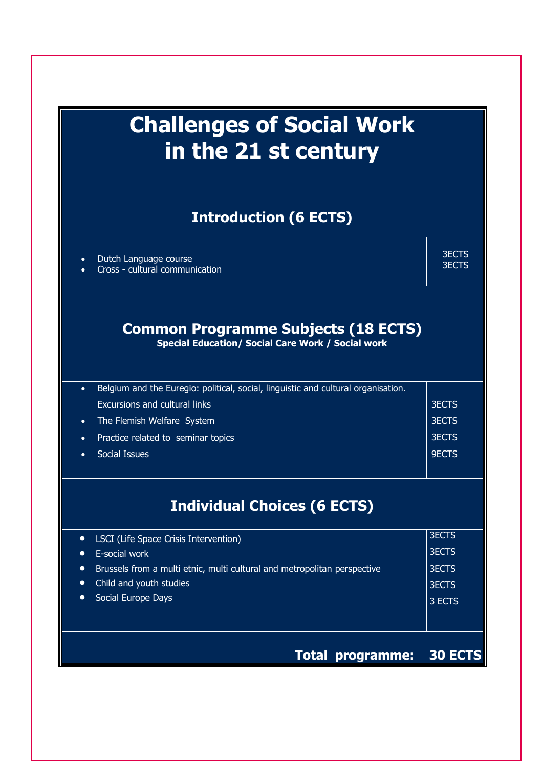## **Challenges of Social Work in the 21 st century**

### **Introduction (6 ECTS)**

|  | Dutch Language course |  |
|--|-----------------------|--|
|  |                       |  |

Cross - cultural communication

3ECTS 3ECTS

### **Common Programme Subjects (18 ECTS)**

**Special Education/ Social Care Work / Social work**

| Belgium and the Euregio: political, social, linguistic and cultural organisation.<br>$\bullet$ |              |
|------------------------------------------------------------------------------------------------|--------------|
| <b>Excursions and cultural links</b>                                                           | <b>3ECTS</b> |
| The Flemish Welfare System<br>$\bullet$                                                        | <b>3ECTS</b> |
| Practice related to seminar topics<br>$\bullet$                                                | <b>3ECTS</b> |
| Social Issues<br>$\bullet$                                                                     | <b>9ECTS</b> |
|                                                                                                |              |
|                                                                                                |              |
| <b>Individual Choices (6 ECTS)</b>                                                             |              |
| <b>LSCI</b> (Life Space Crisis Intervention)<br>$\bullet$                                      | <b>3ECTS</b> |
| E-social work<br>$\bullet$                                                                     | <b>3ECTS</b> |
| Brussels from a multi etnic, multi cultural and metropolitan perspective<br>$\bullet$          | <b>3ECTS</b> |
| Child and youth studies<br>$\bullet$                                                           | <b>3ECTS</b> |
| Social Europe Days<br>$\bullet$                                                                | 3 ECTS       |

### **Total programme: 30 ECTS**